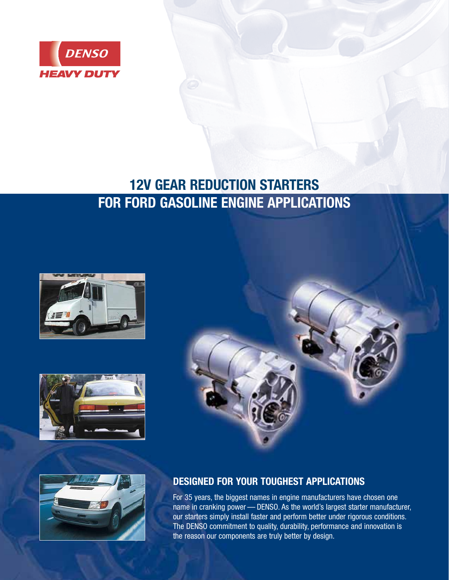

# **12V GEAR REDUCTION STARTERS FOR FORD GASOLINE ENGINE APPLICATIONS**









## **DESIGNED FOR YOUR TOUGHEST APPLICATIONS**

For 35 years, the biggest names in engine manufacturers have chosen one name in cranking power — DENSO. As the world's largest starter manufacturer, our starters simply install faster and perform better under rigorous conditions. The DENSO commitment to quality, durability, performance and innovation is the reason our components are truly better by design.